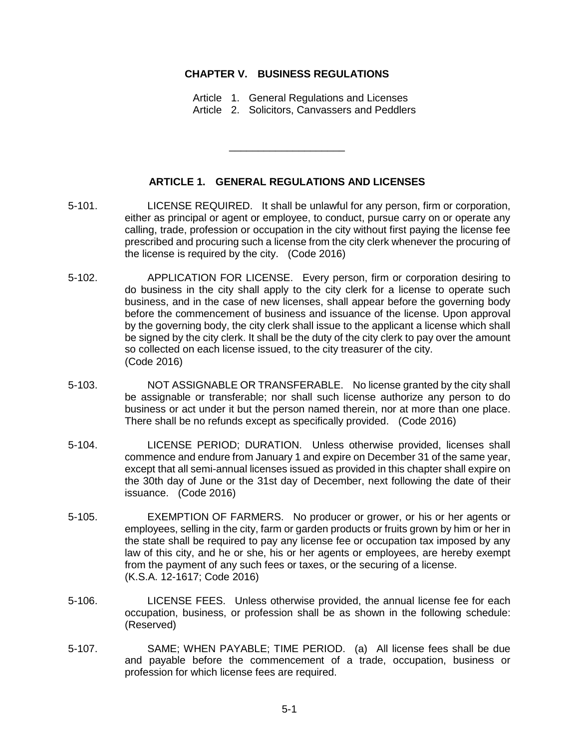## **CHAPTER V. BUSINESS REGULATIONS**

Article 1. General Regulations and Licenses Article 2. Solicitors, Canvassers and Peddlers

## **ARTICLE 1. GENERAL REGULATIONS AND LICENSES**

\_\_\_\_\_\_\_\_\_\_\_\_\_\_\_\_\_\_\_\_

- 5-101. LICENSE REQUIRED. It shall be unlawful for any person, firm or corporation, either as principal or agent or employee, to conduct, pursue carry on or operate any calling, trade, profession or occupation in the city without first paying the license fee prescribed and procuring such a license from the city clerk whenever the procuring of the license is required by the city. (Code 2016)
- 5-102. APPLICATION FOR LICENSE. Every person, firm or corporation desiring to do business in the city shall apply to the city clerk for a license to operate such business, and in the case of new licenses, shall appear before the governing body before the commencement of business and issuance of the license. Upon approval by the governing body, the city clerk shall issue to the applicant a license which shall be signed by the city clerk. It shall be the duty of the city clerk to pay over the amount so collected on each license issued, to the city treasurer of the city. (Code 2016)
- 5-103. NOT ASSIGNABLE OR TRANSFERABLE. No license granted by the city shall be assignable or transferable; nor shall such license authorize any person to do business or act under it but the person named therein, nor at more than one place. There shall be no refunds except as specifically provided. (Code 2016)
- 5-104. LICENSE PERIOD; DURATION. Unless otherwise provided, licenses shall commence and endure from January 1 and expire on December 31 of the same year, except that all semi-annual licenses issued as provided in this chapter shall expire on the 30th day of June or the 31st day of December, next following the date of their issuance. (Code 2016)
- 5-105. EXEMPTION OF FARMERS. No producer or grower, or his or her agents or employees, selling in the city, farm or garden products or fruits grown by him or her in the state shall be required to pay any license fee or occupation tax imposed by any law of this city, and he or she, his or her agents or employees, are hereby exempt from the payment of any such fees or taxes, or the securing of a license. (K.S.A. 12-1617; Code 2016)
- 5-106. LICENSE FEES. Unless otherwise provided, the annual license fee for each occupation, business, or profession shall be as shown in the following schedule: (Reserved)
- 5-107. SAME; WHEN PAYABLE; TIME PERIOD. (a) All license fees shall be due and payable before the commencement of a trade, occupation, business or profession for which license fees are required.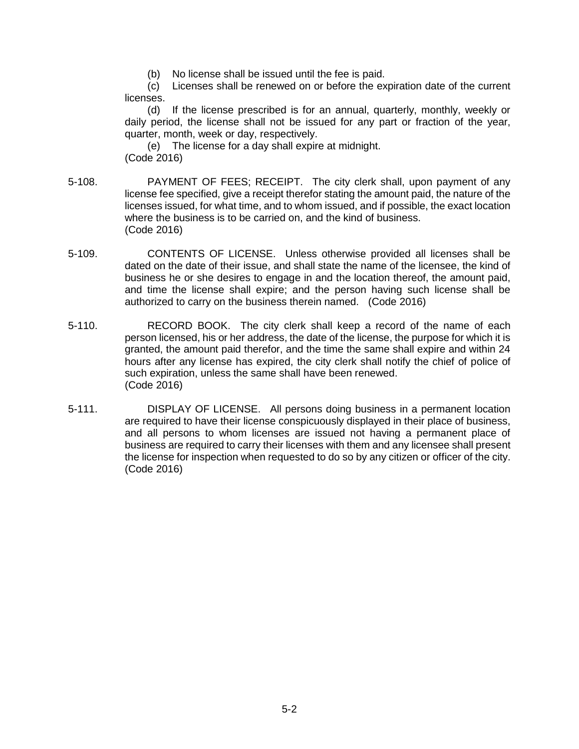(b) No license shall be issued until the fee is paid.

(c) Licenses shall be renewed on or before the expiration date of the current licenses.

(d) If the license prescribed is for an annual, quarterly, monthly, weekly or daily period, the license shall not be issued for any part or fraction of the year, quarter, month, week or day, respectively.

(e) The license for a day shall expire at midnight. (Code 2016)

- 5-108. PAYMENT OF FEES; RECEIPT. The city clerk shall, upon payment of any license fee specified, give a receipt therefor stating the amount paid, the nature of the licenses issued, for what time, and to whom issued, and if possible, the exact location where the business is to be carried on, and the kind of business. (Code 2016)
- 5-109. CONTENTS OF LICENSE. Unless otherwise provided all licenses shall be dated on the date of their issue, and shall state the name of the licensee, the kind of business he or she desires to engage in and the location thereof, the amount paid, and time the license shall expire; and the person having such license shall be authorized to carry on the business therein named. (Code 2016)
- 5-110. RECORD BOOK. The city clerk shall keep a record of the name of each person licensed, his or her address, the date of the license, the purpose for which it is granted, the amount paid therefor, and the time the same shall expire and within 24 hours after any license has expired, the city clerk shall notify the chief of police of such expiration, unless the same shall have been renewed. (Code 2016)
- 5-111. DISPLAY OF LICENSE. All persons doing business in a permanent location are required to have their license conspicuously displayed in their place of business, and all persons to whom licenses are issued not having a permanent place of business are required to carry their licenses with them and any licensee shall present the license for inspection when requested to do so by any citizen or officer of the city. (Code 2016)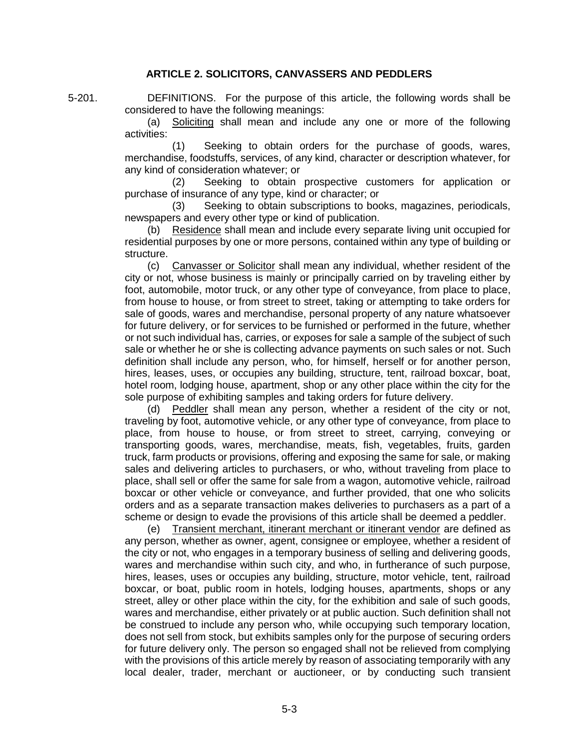## **ARTICLE 2. SOLICITORS, CANVASSERS AND PEDDLERS**

5-201. DEFINITIONS. For the purpose of this article, the following words shall be considered to have the following meanings:

> (a) Soliciting shall mean and include any one or more of the following activities:

> (1) Seeking to obtain orders for the purchase of goods, wares, merchandise, foodstuffs, services, of any kind, character or description whatever, for any kind of consideration whatever; or

> (2) Seeking to obtain prospective customers for application or purchase of insurance of any type, kind or character; or

> (3) Seeking to obtain subscriptions to books, magazines, periodicals, newspapers and every other type or kind of publication.

> (b) Residence shall mean and include every separate living unit occupied for residential purposes by one or more persons, contained within any type of building or structure.

> (c) Canvasser or Solicitor shall mean any individual, whether resident of the city or not, whose business is mainly or principally carried on by traveling either by foot, automobile, motor truck, or any other type of conveyance, from place to place, from house to house, or from street to street, taking or attempting to take orders for sale of goods, wares and merchandise, personal property of any nature whatsoever for future delivery, or for services to be furnished or performed in the future, whether or not such individual has, carries, or exposes for sale a sample of the subject of such sale or whether he or she is collecting advance payments on such sales or not. Such definition shall include any person, who, for himself, herself or for another person, hires, leases, uses, or occupies any building, structure, tent, railroad boxcar, boat, hotel room, lodging house, apartment, shop or any other place within the city for the sole purpose of exhibiting samples and taking orders for future delivery.

> (d) Peddler shall mean any person, whether a resident of the city or not, traveling by foot, automotive vehicle, or any other type of conveyance, from place to place, from house to house, or from street to street, carrying, conveying or transporting goods, wares, merchandise, meats, fish, vegetables, fruits, garden truck, farm products or provisions, offering and exposing the same for sale, or making sales and delivering articles to purchasers, or who, without traveling from place to place, shall sell or offer the same for sale from a wagon, automotive vehicle, railroad boxcar or other vehicle or conveyance, and further provided, that one who solicits orders and as a separate transaction makes deliveries to purchasers as a part of a scheme or design to evade the provisions of this article shall be deemed a peddler.

> (e) Transient merchant, itinerant merchant or itinerant vendor are defined as any person, whether as owner, agent, consignee or employee, whether a resident of the city or not, who engages in a temporary business of selling and delivering goods, wares and merchandise within such city, and who, in furtherance of such purpose, hires, leases, uses or occupies any building, structure, motor vehicle, tent, railroad boxcar, or boat, public room in hotels, lodging houses, apartments, shops or any street, alley or other place within the city, for the exhibition and sale of such goods, wares and merchandise, either privately or at public auction. Such definition shall not be construed to include any person who, while occupying such temporary location, does not sell from stock, but exhibits samples only for the purpose of securing orders for future delivery only. The person so engaged shall not be relieved from complying with the provisions of this article merely by reason of associating temporarily with any local dealer, trader, merchant or auctioneer, or by conducting such transient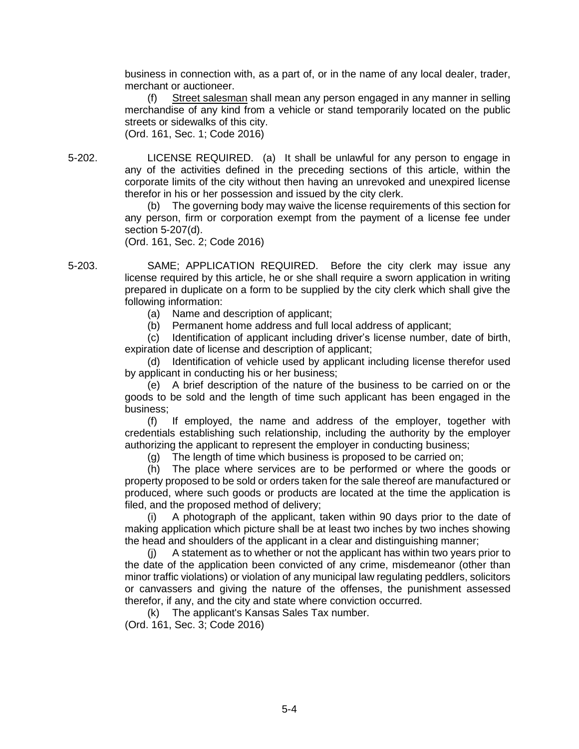business in connection with, as a part of, or in the name of any local dealer, trader, merchant or auctioneer.

(f) Street salesman shall mean any person engaged in any manner in selling merchandise of any kind from a vehicle or stand temporarily located on the public streets or sidewalks of this city. (Ord. 161, Sec. 1; Code 2016)

5-202. LICENSE REQUIRED. (a) It shall be unlawful for any person to engage in any of the activities defined in the preceding sections of this article, within the corporate limits of the city without then having an unrevoked and unexpired license therefor in his or her possession and issued by the city clerk.

> (b) The governing body may waive the license requirements of this section for any person, firm or corporation exempt from the payment of a license fee under section 5-207(d).

(Ord. 161, Sec. 2; Code 2016)

5-203. SAME; APPLICATION REQUIRED. Before the city clerk may issue any license required by this article, he or she shall require a sworn application in writing prepared in duplicate on a form to be supplied by the city clerk which shall give the following information:

(a) Name and description of applicant;

(b) Permanent home address and full local address of applicant;

(c) Identification of applicant including driver's license number, date of birth, expiration date of license and description of applicant;

(d) Identification of vehicle used by applicant including license therefor used by applicant in conducting his or her business;

(e) A brief description of the nature of the business to be carried on or the goods to be sold and the length of time such applicant has been engaged in the business;

(f) If employed, the name and address of the employer, together with credentials establishing such relationship, including the authority by the employer authorizing the applicant to represent the employer in conducting business;

(g) The length of time which business is proposed to be carried on;

(h) The place where services are to be performed or where the goods or property proposed to be sold or orders taken for the sale thereof are manufactured or produced, where such goods or products are located at the time the application is filed, and the proposed method of delivery;

(i) A photograph of the applicant, taken within 90 days prior to the date of making application which picture shall be at least two inches by two inches showing the head and shoulders of the applicant in a clear and distinguishing manner;

(j) A statement as to whether or not the applicant has within two years prior to the date of the application been convicted of any crime, misdemeanor (other than minor traffic violations) or violation of any municipal law regulating peddlers, solicitors or canvassers and giving the nature of the offenses, the punishment assessed therefor, if any, and the city and state where conviction occurred.

(k) The applicant's Kansas Sales Tax number. (Ord. 161, Sec. 3; Code 2016)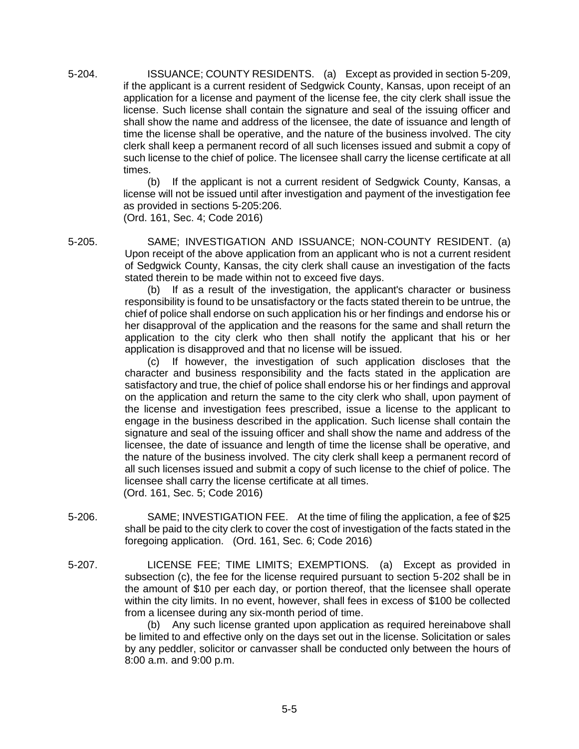5-204. ISSUANCE; COUNTY RESIDENTS. (a) Except as provided in section 5-209, if the applicant is a current resident of Sedgwick County, Kansas, upon receipt of an application for a license and payment of the license fee, the city clerk shall issue the license. Such license shall contain the signature and seal of the issuing officer and shall show the name and address of the licensee, the date of issuance and length of time the license shall be operative, and the nature of the business involved. The city clerk shall keep a permanent record of all such licenses issued and submit a copy of such license to the chief of police. The licensee shall carry the license certificate at all times.

(b) If the applicant is not a current resident of Sedgwick County, Kansas, a license will not be issued until after investigation and payment of the investigation fee as provided in sections 5-205:206.

(Ord. 161, Sec. 4; Code 2016)

5-205. SAME; INVESTIGATION AND ISSUANCE; NON-COUNTY RESIDENT. (a) Upon receipt of the above application from an applicant who is not a current resident of Sedgwick County, Kansas, the city clerk shall cause an investigation of the facts stated therein to be made within not to exceed five days.

(b) If as a result of the investigation, the applicant's character or business responsibility is found to be unsatisfactory or the facts stated therein to be untrue, the chief of police shall endorse on such application his or her findings and endorse his or her disapproval of the application and the reasons for the same and shall return the application to the city clerk who then shall notify the applicant that his or her application is disapproved and that no license will be issued.

(c) If however, the investigation of such application discloses that the character and business responsibility and the facts stated in the application are satisfactory and true, the chief of police shall endorse his or her findings and approval on the application and return the same to the city clerk who shall, upon payment of the license and investigation fees prescribed, issue a license to the applicant to engage in the business described in the application. Such license shall contain the signature and seal of the issuing officer and shall show the name and address of the licensee, the date of issuance and length of time the license shall be operative, and the nature of the business involved. The city clerk shall keep a permanent record of all such licenses issued and submit a copy of such license to the chief of police. The licensee shall carry the license certificate at all times.

(Ord. 161, Sec. 5; Code 2016)

- 5-206. SAME; INVESTIGATION FEE. At the time of filing the application, a fee of \$25 shall be paid to the city clerk to cover the cost of investigation of the facts stated in the foregoing application. (Ord. 161, Sec. 6; Code 2016)
- 5-207. LICENSE FEE; TIME LIMITS; EXEMPTIONS. (a) Except as provided in subsection (c), the fee for the license required pursuant to section 5-202 shall be in the amount of \$10 per each day, or portion thereof, that the licensee shall operate within the city limits. In no event, however, shall fees in excess of \$100 be collected from a licensee during any six-month period of time.

(b) Any such license granted upon application as required hereinabove shall be limited to and effective only on the days set out in the license. Solicitation or sales by any peddler, solicitor or canvasser shall be conducted only between the hours of 8:00 a.m. and 9:00 p.m.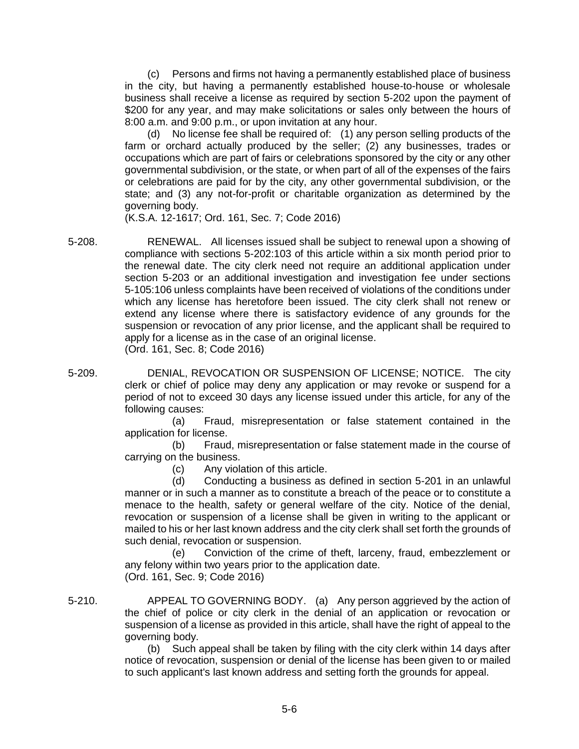(c) Persons and firms not having a permanently established place of business in the city, but having a permanently established house-to-house or wholesale business shall receive a license as required by section 5-202 upon the payment of \$200 for any year, and may make solicitations or sales only between the hours of 8:00 a.m. and 9:00 p.m., or upon invitation at any hour.

(d) No license fee shall be required of: (1) any person selling products of the farm or orchard actually produced by the seller; (2) any businesses, trades or occupations which are part of fairs or celebrations sponsored by the city or any other governmental subdivision, or the state, or when part of all of the expenses of the fairs or celebrations are paid for by the city, any other governmental subdivision, or the state; and (3) any not-for-profit or charitable organization as determined by the governing body.

(K.S.A. 12-1617; Ord. 161, Sec. 7; Code 2016)

5-208. RENEWAL. All licenses issued shall be subject to renewal upon a showing of compliance with sections 5-202:103 of this article within a six month period prior to the renewal date. The city clerk need not require an additional application under section 5-203 or an additional investigation and investigation fee under sections 5-105:106 unless complaints have been received of violations of the conditions under which any license has heretofore been issued. The city clerk shall not renew or extend any license where there is satisfactory evidence of any grounds for the suspension or revocation of any prior license, and the applicant shall be required to apply for a license as in the case of an original license. (Ord. 161, Sec. 8; Code 2016)

5-209. DENIAL, REVOCATION OR SUSPENSION OF LICENSE; NOTICE. The city clerk or chief of police may deny any application or may revoke or suspend for a period of not to exceed 30 days any license issued under this article, for any of the following causes:

> (a) Fraud, misrepresentation or false statement contained in the application for license.

> (b) Fraud, misrepresentation or false statement made in the course of carrying on the business.

(c) Any violation of this article.

(d) Conducting a business as defined in section 5-201 in an unlawful manner or in such a manner as to constitute a breach of the peace or to constitute a menace to the health, safety or general welfare of the city. Notice of the denial, revocation or suspension of a license shall be given in writing to the applicant or mailed to his or her last known address and the city clerk shall set forth the grounds of such denial, revocation or suspension.

(e) Conviction of the crime of theft, larceny, fraud, embezzlement or any felony within two years prior to the application date. (Ord. 161, Sec. 9; Code 2016)

5-210. APPEAL TO GOVERNING BODY. (a) Any person aggrieved by the action of the chief of police or city clerk in the denial of an application or revocation or suspension of a license as provided in this article, shall have the right of appeal to the governing body.

(b) Such appeal shall be taken by filing with the city clerk within 14 days after notice of revocation, suspension or denial of the license has been given to or mailed to such applicant's last known address and setting forth the grounds for appeal.